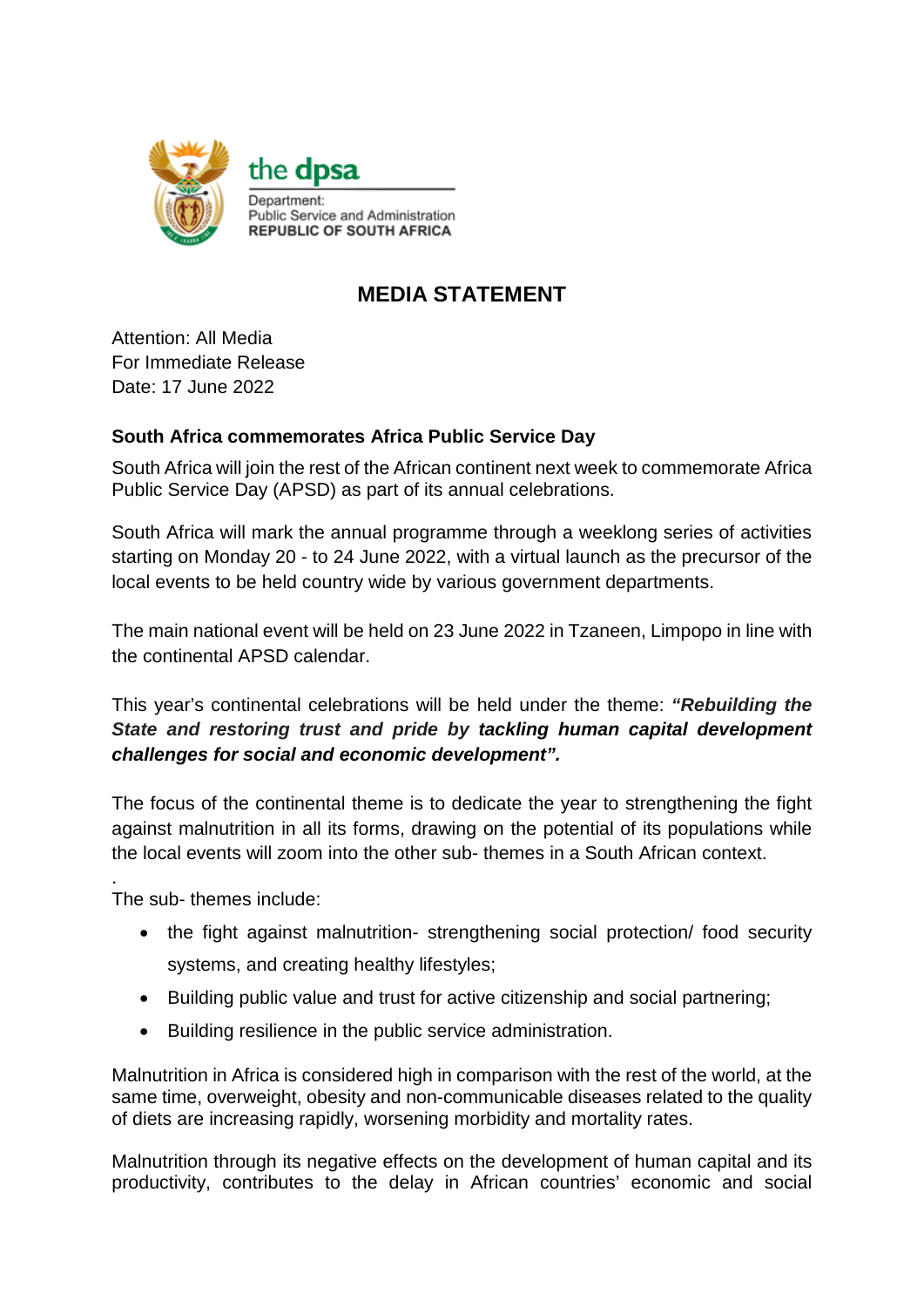

## **MEDIA STATEMENT**

Attention: All Media For Immediate Release Date: 17 June 2022

## **South Africa commemorates Africa Public Service Day**

South Africa will join the rest of the African continent next week to commemorate Africa Public Service Day (APSD) as part of its annual celebrations.

South Africa will mark the annual programme through a weeklong series of activities starting on Monday 20 - to 24 June 2022, with a virtual launch as the precursor of the local events to be held country wide by various government departments.

The main national event will be held on 23 June 2022 in Tzaneen, Limpopo in line with the continental APSD calendar.

This year's continental celebrations will be held under the theme: *"Rebuilding the State and restoring trust and pride by tackling human capital development challenges for social and economic development".*

The focus of the continental theme is to dedicate the year to strengthening the fight against malnutrition in all its forms, drawing on the potential of its populations while the local events will zoom into the other sub- themes in a South African context.

. The sub- themes include:

- the fight against malnutrition- strengthening social protection/ food security systems, and creating healthy lifestyles;
- Building public value and trust for active citizenship and social partnering;
- Building resilience in the public service administration.

Malnutrition in Africa is considered high in comparison with the rest of the world, at the same time, overweight, obesity and non-communicable diseases related to the quality of diets are increasing rapidly, worsening morbidity and mortality rates.

Malnutrition through its negative effects on the development of human capital and its productivity, contributes to the delay in African countries' economic and social